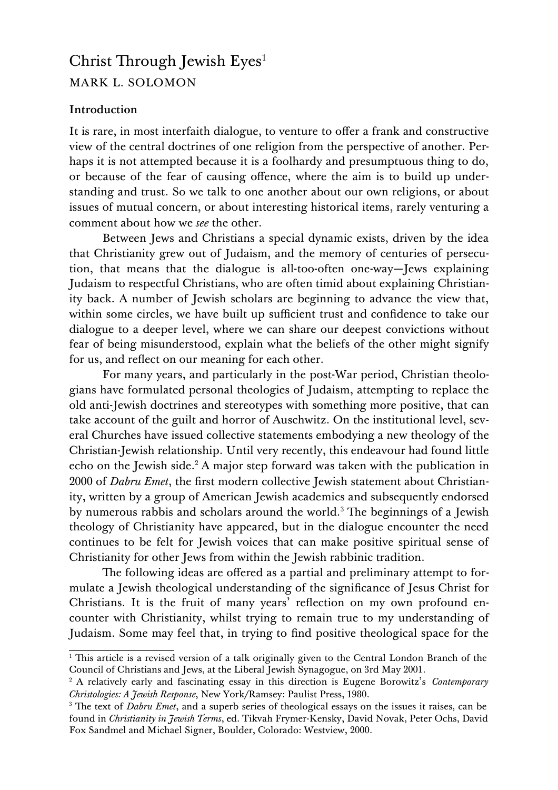# Christ Through Jewish Eyes<sup>[1](#page-0-0)</sup> MARK L. SOLOMON

## **Introduction**

It is rare, in most interfaith dialogue, to venture to offer a frank and constructive view of the central doctrines of one religion from the perspective of another. Perhaps it is not attempted because it is a foolhardy and presumptuous thing to do, or because of the fear of causing offence, where the aim is to build up understanding and trust. So we talk to one another about our own religions, or about issues of mutual concern, or about interesting historical items, rarely venturing a comment about how we *see* the other.

Between Jews and Christians a special dynamic exists, driven by the idea that Christianity grew out of Judaism, and the memory of centuries of persecution, that means that the dialogue is all-too-often one-way—Jews explaining Judaism to respectful Christians, who are often timid about explaining Christianity back. A number of Jewish scholars are beginning to advance the view that, within some circles, we have built up sufficient trust and confidence to take our dialogue to a deeper level, where we can share our deepest convictions without fear of being misunderstood, explain what the beliefs of the other might signify for us, and reflect on our meaning for each other.

For many years, and particularly in the post-War period, Christian theologians have formulated personal theologies of Judaism, attempting to replace the old anti-Jewish doctrines and stereotypes with something more positive, that can take account of the guilt and horror of Auschwitz. On the institutional level, several Churches have issued collective statements embodying a new theology of the Christian-Jewish relationship. Until very recently, this endeavour had found little echo on the Jewish side.<sup>[2](#page-0-1)</sup> A major step forward was taken with the publication in 2000 of *Dabru Emet*, the first modern collective Jewish statement about Christianity, written by a group of American Jewish academics and subsequently endorsed by numerous rabbis and scholars around the world.<sup>[3](#page-0-2)</sup> The beginnings of a Jewish theology of Christianity have appeared, but in the dialogue encounter the need continues to be felt for Jewish voices that can make positive spiritual sense of Christianity for other Jews from within the Jewish rabbinic tradition.

The following ideas are offered as a partial and preliminary attempt to formulate a Jewish theological understanding of the significance of Jesus Christ for Christians. It is the fruit of many years' reflection on my own profound encounter with Christianity, whilst trying to remain true to my understanding of Judaism. Some may feel that, in trying to find positive theological space for the

<span id="page-0-0"></span> $\overline{1}$  This article is a revised version of a talk originally given to the Central London Branch of the Council of Christians and Jews, at the Liberal Jewish Synagogue, on 3rd May 2001.

<span id="page-0-1"></span><sup>2</sup> A relatively early and fascinating essay in this direction is Eugene Borowitz's *Contemporary Christologies: A Jewish Response*, New York/Ramsey: Paulist Press, 1980.

<span id="page-0-2"></span><sup>&</sup>lt;sup>3</sup> The text of *Dabru Emet*, and a superb series of theological essays on the issues it raises, can be found in *Christianity in Jewish Terms*, ed. Tikvah Frymer-Kensky, David Novak, Peter Ochs, David Fox Sandmel and Michael Signer, Boulder, Colorado: Westview, 2000.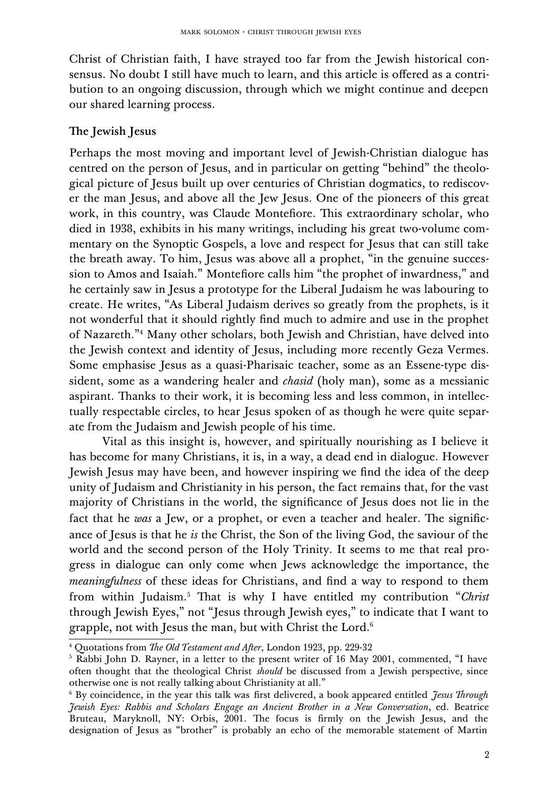Christ of Christian faith, I have strayed too far from the Jewish historical consensus. No doubt I still have much to learn, and this article is offered as a contribution to an ongoing discussion, through which we might continue and deepen our shared learning process.

## The Jewish Jesus

Perhaps the most moving and important level of Jewish-Christian dialogue has centred on the person of Jesus, and in particular on getting "behind" the theological picture of Jesus built up over centuries of Christian dogmatics, to rediscover the man Jesus, and above all the Jew Jesus. One of the pioneers of this great work, in this country, was Claude Montefiore. This extraordinary scholar, who died in 1938, exhibits in his many writings, including his great two-volume commentary on the Synoptic Gospels, a love and respect for Jesus that can still take the breath away. To him, Jesus was above all a prophet, "in the genuine succession to Amos and Isaiah." Montefiore calls him "the prophet of inwardness," and he certainly saw in Jesus a prototype for the Liberal Judaism he was labouring to create. He writes, "As Liberal Judaism derives so greatly from the prophets, is it not wonderful that it should rightly find much to admire and use in the prophet of Nazareth."[4](#page-1-0) Many other scholars, both Jewish and Christian, have delved into the Jewish context and identity of Jesus, including more recently Geza Vermes. Some emphasise Jesus as a quasi-Pharisaic teacher, some as an Essene-type dissident, some as a wandering healer and *chasid* (holy man), some as a messianic aspirant. Thanks to their work, it is becoming less and less common, in intellectually respectable circles, to hear Jesus spoken of as though he were quite separate from the Judaism and Jewish people of his time.

Vital as this insight is, however, and spiritually nourishing as I believe it has become for many Christians, it is, in a way, a dead end in dialogue. However Jewish Jesus may have been, and however inspiring we find the idea of the deep unity of Judaism and Christianity in his person, the fact remains that, for the vast majority of Christians in the world, the significance of Jesus does not lie in the fact that he *was* a Jew, or a prophet, or even a teacher and healer. The significance of Jesus is that he *is* the Christ, the Son of the living God, the saviour of the world and the second person of the Holy Trinity. It seems to me that real progress in dialogue can only come when Jews acknowledge the importance, the *meaningfulness* of these ideas for Christians, and find a way to respond to them from within Judaism.<sup>[5](#page-1-1)</sup> That is why I have entitled my contribution "*Christ* through Jewish Eyes," not "Jesus through Jewish eyes," to indicate that I want to grapple, not with Jesus the man, but with Christ the Lord.[6](#page-1-2)

<span id="page-1-0"></span><sup>&</sup>lt;sup>4</sup> Quotations from *The Old Testament and After*, London 1923, pp. 229-32

<span id="page-1-1"></span><sup>5</sup> Rabbi John D. Rayner, in a letter to the present writer of 16 May 2001, commented, "I have often thought that the theological Christ *should* be discussed from a Jewish perspective, since otherwise one is not really talking about Christianity at all."

<span id="page-1-2"></span> $^6$  By coincidence, in the year this talk was first delivered, a book appeared entitled *Jesus Through Jewish Eyes: Rabbis and Scholars Engage an Ancient Brother in a New Conversation*, ed. Beatrice Bruteau, Maryknoll, NY: Orbis, 2001. The focus is firmly on the Jewish Jesus, and the designation of Jesus as "brother" is probably an echo of the memorable statement of Martin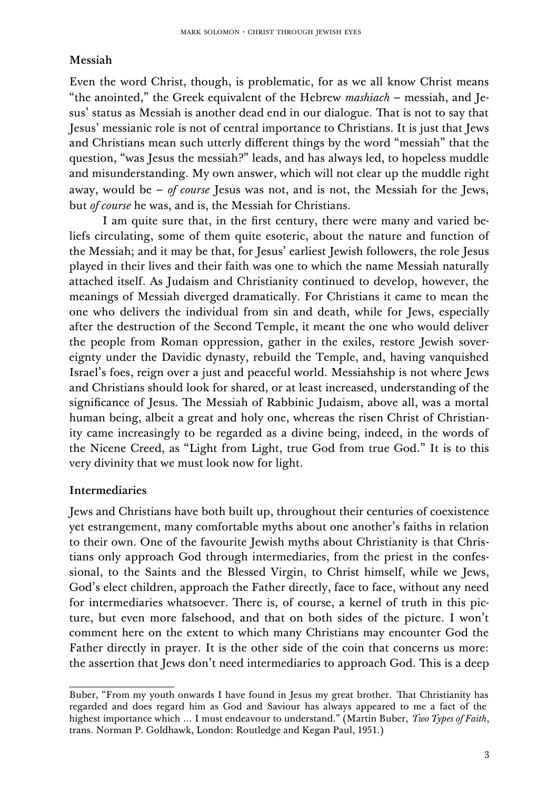### Messiah

Even the word Christ, though, is problematic, for as we all know Christ means "the anointed," the Greek equivalent of the Hebrew *mashiach* – messiah, and Jesus' status as Messiah is another dead end in our dialogue. That is not to say that Jesus' messianic role is not of central importance to Christians. It is just that Jews and Christians mean such utterly different things by the word "messiah" that the question, "was Jesus the messiah?" leads, and has always led, to hopeless muddle and misunderstanding. My own answer, which will not clear up the muddle right away, would be – *of course* Jesus was not, and is not, the Messiah for the Jews, but *of course* he was, and is, the Messiah for Christians.

I am quite sure that, in the first century, there were many and varied beliefs circulating, some of them quite esoteric, about the nature and function of the Messiah; and it may be that, for Jesus' earliest Jewish followers, the role Jesus played in their lives and their faith was one to which the name Messiah naturally attached itself. As Judaism and Christianity continued to develop, however, the meanings of Messiah diverged dramatically. For Christians it came to mean the one who delivers the individual from sin and death, while for Jews, especially after the destruction of the Second Temple, it meant the one who would deliver the people from Roman oppression, gather in the exiles, restore Jewish sovereignty under the Davidic dynasty, rebuild the Temple, and, having vanquished Israel's foes, reign over a just and peaceful world. Messiahship is not where Jews and Christians should look for shared, or at least increased, understanding of the significance of Jesus. The Messiah of Rabbinic Judaism, above all, was a mortal human being, albeit a great and holy one, whereas the risen Christ of Christianity came increasingly to be regarded as a divine being, indeed, in the words of the Nicene Creed, as "Light from Light, true God from true God." It is to this very divinity that we must look now for light.

### Intermediaries

Jews and Christians have both built up, throughout their centuries of coexistence yet estrangement, many comfortable myths about one another's faiths in relation to their own. One of the favourite Jewish myths about Christianity is that Christians only approach God through intermediaries, from the priest in the confessional, to the Saints and the Blessed Virgin, to Christ himself, while we Jews, God's elect children, approach the Father directly, face to face, without any need for intermediaries whatsoever. There is, of course, a kernel of truth in this picture, but even more falsehood, and that on both sides of the picture. I won't comment here on the extent to which many Christians may encounter God the Father directly in prayer. It is the other side of the coin that concerns us more: the assertion that Jews don't need intermediaries to approach God. This is a deep

Buber, "From my youth onwards I have found in Jesus my great brother. That Christianity has regarded and does regard him as God and Saviour has always appeared to me a fact of the highest importance which … I must endeavour to understand." (Martin Buber, *Two Types of Faith*, trans. Norman P. Goldhawk, London: Routledge and Kegan Paul, 1951.)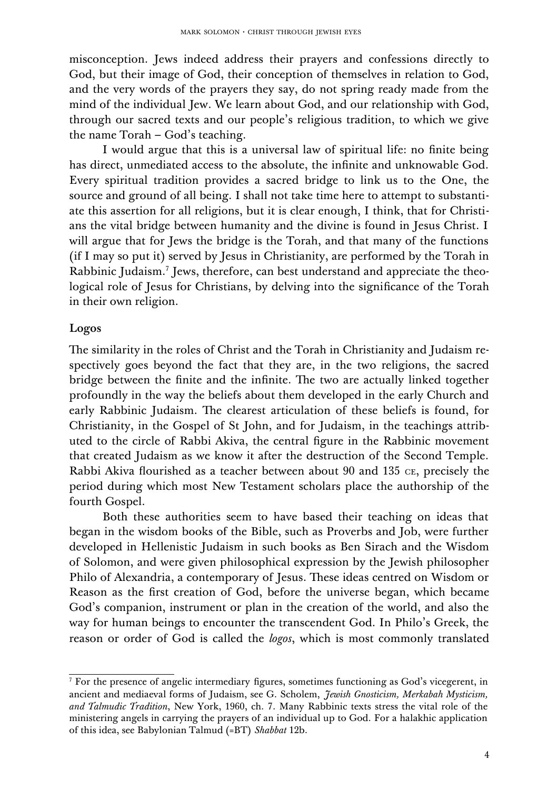misconception. Jews indeed address their prayers and confessions directly to God, but their image of God, their conception of themselves in relation to God, and the very words of the prayers they say, do not spring ready made from the mind of the individual Jew. We learn about God, and our relationship with God, through our sacred texts and our people's religious tradition, to which we give the name Torah – God's teaching.

I would argue that this is a universal law of spiritual life: no finite being has direct, unmediated access to the absolute, the infinite and unknowable God. Every spiritual tradition provides a sacred bridge to link us to the One, the source and ground of all being. I shall not take time here to attempt to substantiate this assertion for all religions, but it is clear enough, I think, that for Christians the vital bridge between humanity and the divine is found in Jesus Christ. I will argue that for Jews the bridge is the Torah, and that many of the functions (if I may so put it) served by Jesus in Christianity, are performed by the Torah in Rabbinic Judaism.<sup>[7](#page-3-0)</sup> Jews, therefore, can best understand and appreciate the theological role of Jesus for Christians, by delving into the significance of the Torah in their own religion.

### Logos

The similarity in the roles of Christ and the Torah in Christianity and Judaism respectively goes beyond the fact that they are, in the two religions, the sacred bridge between the finite and the infinite. The two are actually linked together profoundly in the way the beliefs about them developed in the early Church and early Rabbinic Judaism. The clearest articulation of these beliefs is found, for Christianity, in the Gospel of St John, and for Judaism, in the teachings attributed to the circle of Rabbi Akiva, the central figure in the Rabbinic movement that created Judaism as we know it after the destruction of the Second Temple. Rabbi Akiva flourished as a teacher between about 90 and 135 CE, precisely the period during which most New Testament scholars place the authorship of the fourth Gospel.

Both these authorities seem to have based their teaching on ideas that began in the wisdom books of the Bible, such as Proverbs and Job, were further developed in Hellenistic Judaism in such books as Ben Sirach and the Wisdom of Solomon, and were given philosophical expression by the Jewish philosopher Philo of Alexandria, a contemporary of Jesus. These ideas centred on Wisdom or Reason as the first creation of God, before the universe began, which became God's companion, instrument or plan in the creation of the world, and also the way for human beings to encounter the transcendent God. In Philo's Greek, the reason or order of God is called the *logos*, which is most commonly translated

<span id="page-3-0"></span><sup>&</sup>lt;sup>7</sup> For the presence of angelic intermediary figures, sometimes functioning as God's vicegerent, in ancient and mediaeval forms of Judaism, see G. Scholem, *Jewish Gnosticism, Merkabah Mysticism, and Talmudic Tradition*, New York, 1960, ch. 7. Many Rabbinic texts stress the vital role of the ministering angels in carrying the prayers of an individual up to God. For a halakhic application of this idea, see Babylonian Talmud (=BT) *Shabbat* 12b.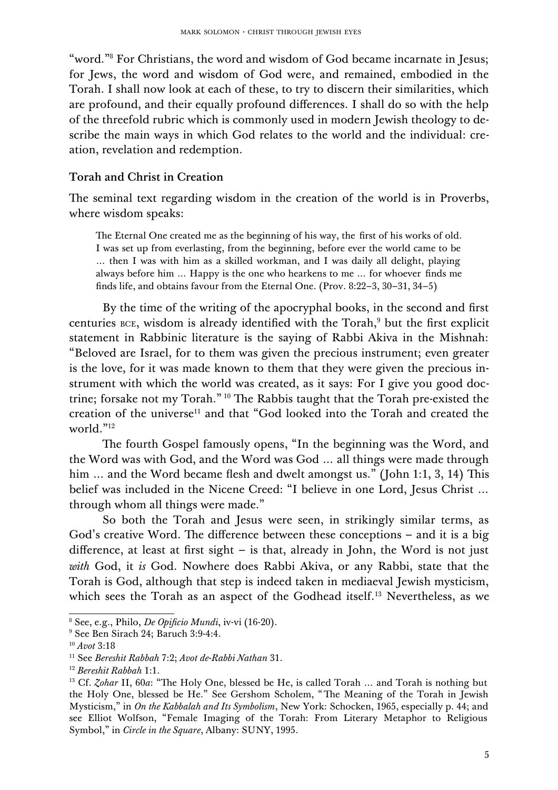"word."[8](#page-4-0) For Christians, the word and wisdom of God became incarnate in Jesus; for Jews, the word and wisdom of God were, and remained, embodied in the Torah. I shall now look at each of these, to try to discern their similarities, which are profound, and their equally profound differences. I shall do so with the help of the threefold rubric which is commonly used in modern Jewish theology to describe the main ways in which God relates to the world and the individual: creation, revelation and redemption.

#### Torah and Christ in Creation

The seminal text regarding wisdom in the creation of the world is in Proverbs, where wisdom speaks:

The Eternal One created me as the beginning of his way, the first of his works of old. I was set up from everlasting, from the beginning, before ever the world came to be … then I was with him as a skilled workman, and I was daily all delight, playing always before him … Happy is the one who hearkens to me … for whoever finds me finds life, and obtains favour from the Eternal One. (Prov. 8:22–3, 30–31, 34–5)

By the time of the writing of the apocryphal books, in the second and first centuries BCE, wisdom is already identified with the Torah,<sup>[9](#page-4-1)</sup> but the first explicit statement in Rabbinic literature is the saying of Rabbi Akiva in the Mishnah: "Beloved are Israel, for to them was given the precious instrument; even greater is the love, for it was made known to them that they were given the precious instrument with which the world was created, as it says: For I give you good doc-trine; forsake not my Torah." <sup>[10](#page-4-2)</sup> The Rabbis taught that the Torah pre-existed the creation of the universe<sup>[11](#page-4-3)</sup> and that "God looked into the Torah and created the world."[12](#page-4-4)

The fourth Gospel famously opens, "In the beginning was the Word, and the Word was with God, and the Word was God … all things were made through him ... and the Word became flesh and dwelt amongst us." (John 1:1, 3, 14) This belief was included in the Nicene Creed: "I believe in one Lord, Jesus Christ … through whom all things were made."

So both the Torah and Jesus were seen, in strikingly similar terms, as God's creative Word. The difference between these conceptions  $-$  and it is a big difference, at least at first sight – is that, already in John, the Word is not just *with* God, it *is* God. Nowhere does Rabbi Akiva, or any Rabbi, state that the Torah is God, although that step is indeed taken in mediaeval Jewish mysticism, which sees the Torah as an aspect of the Godhead itself.<sup>[13](#page-4-5)</sup> Nevertheless, as we

<span id="page-4-0"></span><sup>8</sup> See, e.g., Philo, *De Opificio Mundi*, iv-vi (16-20).

<span id="page-4-1"></span><sup>9</sup> See Ben Sirach 24; Baruch 3:9-4:4.

<span id="page-4-2"></span><sup>10</sup> *Avot* 3:18

<span id="page-4-3"></span><sup>11</sup> See *Bereshit Rabbah* 7:2; *Avot de-Rabbi Nathan* 31.

<span id="page-4-4"></span><sup>12</sup> *Bereshit Rabbah* 1:1.

<span id="page-4-5"></span><sup>&</sup>lt;sup>13</sup> Cf. *Zohar* II, 60*a*: "The Holy One, blessed be He, is called Torah ... and Torah is nothing but the Holy One, blessed be He." See Gershom Scholem, "The Meaning of the Torah in Jewish Mysticism," in *On the Kabbalah and Its Symbolism*, New York: Schocken, 1965, especially p. 44; and see Elliot Wolfson, "Female Imaging of the Torah: From Literary Metaphor to Religious Symbol," in *Circle in the Square*, Albany: SUNY, 1995.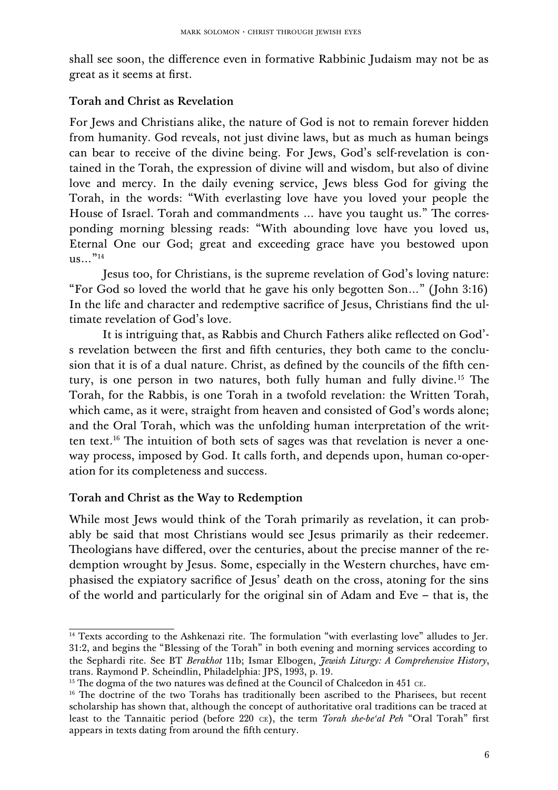shall see soon, the difference even in formative Rabbinic Judaism may not be as great as it seems at first.

## Torah and Christ as Revelation

For Jews and Christians alike, the nature of God is not to remain forever hidden from humanity. God reveals, not just divine laws, but as much as human beings can bear to receive of the divine being. For Jews, God's self-revelation is contained in the Torah, the expression of divine will and wisdom, but also of divine love and mercy. In the daily evening service, Jews bless God for giving the Torah, in the words: "With everlasting love have you loved your people the House of Israel. Torah and commandments ... have you taught us." The corresponding morning blessing reads: "With abounding love have you loved us, Eternal One our God; great and exceeding grace have you bestowed upon  $\frac{115}{115}$ 

Jesus too, for Christians, is the supreme revelation of God's loving nature: "For God so loved the world that he gave his only begotten Son…" (John 3:16) In the life and character and redemptive sacrifice of Jesus, Christians find the ultimate revelation of God's love.

It is intriguing that, as Rabbis and Church Fathers alike reflected on God' s revelation between the first and fifth centuries, they both came to the conclusion that it is of a dual nature. Christ, as defined by the councils of the fifth cen-tury, is one person in two natures, both fully human and fully divine.<sup>[15](#page-5-1)</sup> The Torah, for the Rabbis, is one Torah in a twofold revelation: the Written Torah, which came, as it were, straight from heaven and consisted of God's words alone; and the Oral Torah, which was the unfolding human interpretation of the writ-ten text.<sup>[16](#page-5-2)</sup> The intuition of both sets of sages was that revelation is never a oneway process, imposed by God. It calls forth, and depends upon, human co-operation for its completeness and success.

## Torah and Christ as the Way to Redemption

While most Jews would think of the Torah primarily as revelation, it can probably be said that most Christians would see Jesus primarily as their redeemer. Theologians have differed, over the centuries, about the precise manner of the redemption wrought by Jesus. Some, especially in the Western churches, have emphasised the expiatory sacrifice of Jesus' death on the cross, atoning for the sins of the world and particularly for the original sin of Adam and Eve – that is, the

<span id="page-5-0"></span><sup>&</sup>lt;sup>14</sup> Texts according to the Ashkenazi rite. The formulation "with everlasting love" alludes to Jer. 31:2, and begins the "Blessing of the Torah" in both evening and morning services according to the Sephardi rite. See BT *Berakhot* 11b; Ismar Elbogen, *Jewish Liturgy: A Comprehensive History*, trans. Raymond P. Scheindlin, Philadelphia: JPS, 1993, p. 19.

<span id="page-5-1"></span><sup>&</sup>lt;sup>15</sup> The dogma of the two natures was defined at the Council of Chalcedon in 451 ce.

<span id="page-5-2"></span> $16$  The doctrine of the two Torahs has traditionally been ascribed to the Pharisees, but recent scholarship has shown that, although the concept of authoritative oral traditions can be traced at least to the Tannaitic period (before 220 CE), the term *Torah she-be'al Peh* "Oral Torah" first appears in texts dating from around the fifth century.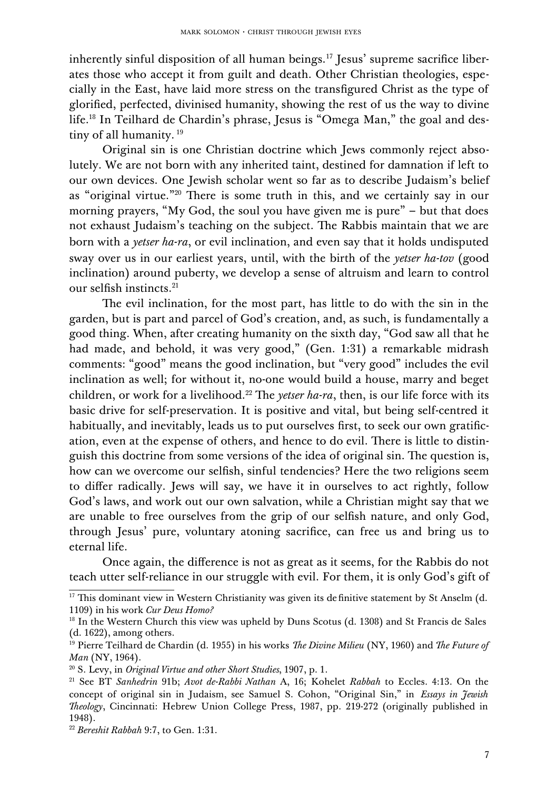inherently sinful disposition of all human beings.<sup>[17](#page-6-0)</sup> Jesus' supreme sacrifice liberates those who accept it from guilt and death. Other Christian theologies, especially in the East, have laid more stress on the transfigured Christ as the type of glorified, perfected, divinised humanity, showing the rest of us the way to divine life.[18](#page-6-1) In Teilhard de Chardin's phrase, Jesus is "Omega Man," the goal and des-tiny of all humanity.<sup>[19](#page-6-2)</sup>

Original sin is one Christian doctrine which Jews commonly reject absolutely. We are not born with any inherited taint, destined for damnation if left to our own devices. One Jewish scholar went so far as to describe Judaism's belief as "original virtue."<sup>[20](#page-6-3)</sup> There is some truth in this, and we certainly say in our morning prayers, "My God, the soul you have given me is pure" – but that does not exhaust Judaism's teaching on the subject. The Rabbis maintain that we are born with a *yetser ha-ra*, or evil inclination, and even say that it holds undisputed sway over us in our earliest years, until, with the birth of the *yetser ha-tov* (good inclination) around puberty, we develop a sense of altruism and learn to control our selfish instincts.<sup>[21](#page-6-4)</sup>

The evil inclination, for the most part, has little to do with the sin in the garden, but is part and parcel of God's creation, and, as such, is fundamentally a good thing. When, after creating humanity on the sixth day, "God saw all that he had made, and behold, it was very good," (Gen. 1:31) a remarkable midrash comments: "good" means the good inclination, but "very good" includes the evil inclination as well; for without it, no-one would build a house, marry and beget children, or work for a livelihood.<sup>[22](#page-6-5)</sup> The *yetser ha-ra*, then, is our life force with its basic drive for self-preservation. It is positive and vital, but being self-centred it habitually, and inevitably, leads us to put ourselves first, to seek our own gratification, even at the expense of others, and hence to do evil. There is little to distinguish this doctrine from some versions of the idea of original sin. The question is, how can we overcome our selfish, sinful tendencies? Here the two religions seem to differ radically. Jews will say, we have it in ourselves to act rightly, follow God's laws, and work out our own salvation, while a Christian might say that we are unable to free ourselves from the grip of our selfish nature, and only God, through Jesus' pure, voluntary atoning sacrifice, can free us and bring us to eternal life.

Once again, the difference is not as great as it seems, for the Rabbis do not teach utter self-reliance in our struggle with evil. For them, it is only God's gift of

<span id="page-6-0"></span> $\frac{17}{17}$  This dominant view in Western Christianity was given its definitive statement by St Anselm (d. 1109) in his work *Cur Deus Homo?*

<span id="page-6-1"></span> $18$  In the Western Church this view was upheld by Duns Scotus (d. 1308) and St Francis de Sales (d. 1622), among others.

<span id="page-6-2"></span><sup>&</sup>lt;sup>19</sup> Pierre Teilhard de Chardin (d. 1955) in his works *The Divine Milieu* (NY, 1960) and *The Future of Man* (NY, 1964).

<span id="page-6-3"></span><sup>20</sup> S. Levy, in *Original Virtue and other Short Studies*, 1907, p. 1.

<span id="page-6-4"></span><sup>21</sup> See BT *Sanhedrin* 91b; *Avot de-Rabbi Nathan* A, 16; Kohelet *Rabbah* to Eccles. 4:13. On the concept of original sin in Judaism, see Samuel S. Cohon, "Original Sin," in *Essays in Jewish* Theology, Cincinnati: Hebrew Union College Press, 1987, pp. 219-272 (originally published in 1948).

<span id="page-6-5"></span><sup>22</sup> *Bereshit Rabbah* 9:7, to Gen. 1:31.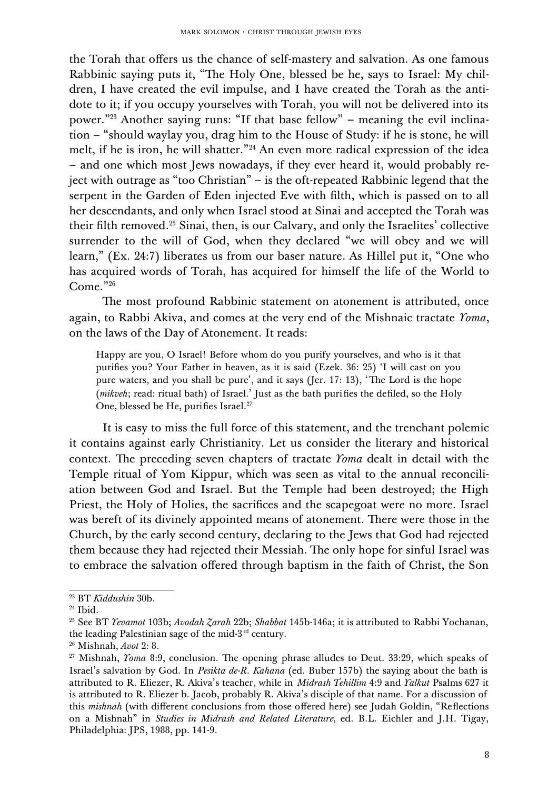the Torah that offers us the chance of self-mastery and salvation. As one famous Rabbinic saying puts it, "The Holy One, blessed be he, says to Israel: My children, I have created the evil impulse, and I have created the Torah as the antidote to it; if you occupy yourselves with Torah, you will not be delivered into its power."[23](#page-7-0) Another saying runs: "If that base fellow" – meaning the evil inclination – "should waylay you, drag him to the House of Study: if he is stone, he will melt, if he is iron, he will shatter."[24](#page-7-1) An even more radical expression of the idea – and one which most Jews nowadays, if they ever heard it, would probably reject with outrage as "too Christian" – is the oft-repeated Rabbinic legend that the serpent in the Garden of Eden injected Eve with filth, which is passed on to all her descendants, and only when Israel stood at Sinai and accepted the Torah was their filth removed.[25](#page-7-2) Sinai, then, is our Calvary, and only the Israelites' collective surrender to the will of God, when they declared "we will obey and we will learn," (Ex. 24:7) liberates us from our baser nature. As Hillel put it, "One who has acquired words of Torah, has acquired for himself the life of the World to Come."[26](#page-7-3)

The most profound Rabbinic statement on atonement is attributed, once again, to Rabbi Akiva, and comes at the very end of the Mishnaic tractate *Yoma*, on the laws of the Day of Atonement. It reads:

Happy are you, O Israel! Before whom do you purify yourselves, and who is it that purifies you? Your Father in heaven, as it is said (Ezek. 36: 25) 'I will cast on you pure waters, and you shall be pure', and it says (Jer. 17: 13), 'The Lord is the hope (*mikveh*; read: ritual bath) of Israel.' Just as the bath purifies the defiled, so the Holy One, blessed be He, purifies Israel.<sup>[27](#page-7-4)</sup>

It is easy to miss the full force of this statement, and the trenchant polemic it contains against early Christianity. Let us consider the literary and historical context. The preceding seven chapters of tractate *Yoma* dealt in detail with the Temple ritual of Yom Kippur, which was seen as vital to the annual reconciliation between God and Israel. But the Temple had been destroyed; the High Priest, the Holy of Holies, the sacrifices and the scapegoat were no more. Israel was bereft of its divinely appointed means of atonement. There were those in the Church, by the early second century, declaring to the Jews that God had rejected them because they had rejected their Messiah. The only hope for sinful Israel was to embrace the salvation offered through baptism in the faith of Christ, the Son

<span id="page-7-0"></span><sup>23</sup> BT *Kiddushin* 30b.

<span id="page-7-1"></span><sup>24</sup> Ibid.

<span id="page-7-2"></span><sup>25</sup> See BT *Yevamot* 103b; *Avodah Zarah* 22b; *Shabbat* 145b-146a; it is attributed to Rabbi Yochanan, the leading Palestinian sage of the mid-3<sup>rd</sup> century.

<span id="page-7-3"></span><sup>26</sup> Mishnah, *Avot* 2: 8.

<span id="page-7-4"></span><sup>&</sup>lt;sup>27</sup> Mishnah, *Yoma* 8:9, conclusion. The opening phrase alludes to Deut. 33:29, which speaks of Israel's salvation by God. In *Pesikta de-R. Kahana* (ed. Buber 157b) the saying about the bath is attributed to R. Eliezer, R. Akiva's teacher, while in *Midrash Tehillim* 4:9 and *Yalkut* Psalms 627 it is attributed to R. Eliezer b. Jacob, probably R. Akiva's disciple of that name. For a discussion of this *mishnah* (with different conclusions from those offered here) see Judah Goldin, "Reflections on a Mishnah" in *Studies in Midrash and Related Literature*, ed. B.L. Eichler and J.H. Tigay, Philadelphia: JPS, 1988, pp. 141-9.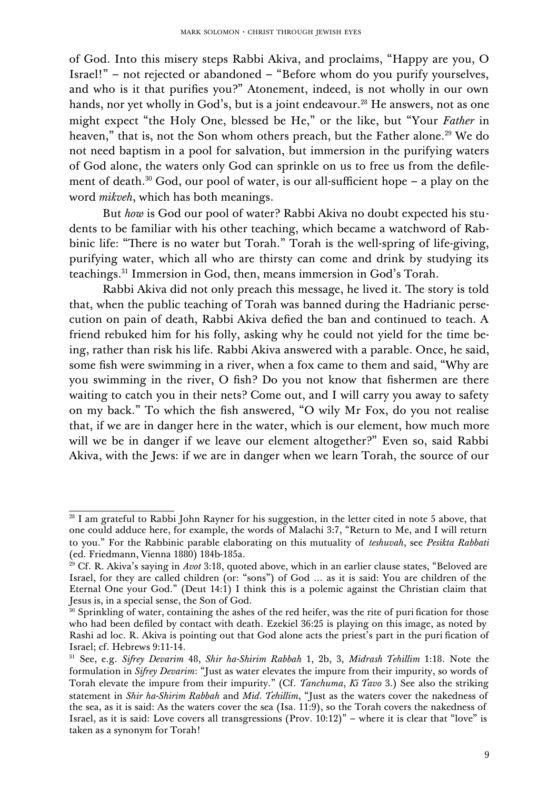of God. Into this misery steps Rabbi Akiva, and proclaims, "Happy are you, O Israel!" – not rejected or abandoned – "Before whom do you purify yourselves, and who is it that purifies you?" Atonement, indeed, is not wholly in our own hands, nor yet wholly in God's, but is a joint endeavour.<sup>[28](#page-8-0)</sup> He answers, not as one might expect "the Holy One, blessed be He," or the like, but "Your *Father* in heaven," that is, not the Son whom others preach, but the Father alone.<sup>[29](#page-8-1)</sup> We do not need baptism in a pool for salvation, but immersion in the purifying waters of God alone, the waters only God can sprinkle on us to free us from the defile-ment of death.<sup>[30](#page-8-2)</sup> God, our pool of water, is our all-sufficient hope – a play on the word *mikveh*, which has both meanings.

But *how* is God our pool of water? Rabbi Akiva no doubt expected his students to be familiar with his other teaching, which became a watchword of Rabbinic life: "There is no water but Torah." Torah is the well-spring of life-giving, purifying water, which all who are thirsty can come and drink by studying its teachings.[31](#page-8-3) Immersion in God, then, means immersion in God's Torah.

Rabbi Akiva did not only preach this message, he lived it. The story is told that, when the public teaching of Torah was banned during the Hadrianic persecution on pain of death, Rabbi Akiva defied the ban and continued to teach. A friend rebuked him for his folly, asking why he could not yield for the time being, rather than risk his life. Rabbi Akiva answered with a parable. Once, he said, some fish were swimming in a river, when a fox came to them and said, "Why are you swimming in the river, O fish? Do you not know that fishermen are there waiting to catch you in their nets? Come out, and I will carry you away to safety on my back." To which the fish answered, "O wily Mr Fox, do you not realise that, if we are in danger here in the water, which is our element, how much more will we be in danger if we leave our element altogether?" Even so, said Rabbi Akiva, with the Jews: if we are in danger when we learn Torah, the source of our

<span id="page-8-0"></span><sup>&</sup>lt;sup>28</sup> I am grateful to Rabbi John Rayner for his suggestion, in the letter cited in note 5 above, that one could adduce here, for example, the words of Malachi 3:7, "Return to Me, and I will return to you." For the Rabbinic parable elaborating on this mutuality of *teshuvah*, see *Pesikta Rabbati* (ed. Friedmann, Vienna 1880) 184b-185a.

<span id="page-8-1"></span><sup>&</sup>lt;sup>29</sup> Cf. R. Akiva's saying in *Avot* 3:18, quoted above, which in an earlier clause states, "Beloved are Israel, for they are called children (or: "sons") of God … as it is said: You are children of the Eternal One your God." (Deut 14:1) I think this is a polemic against the Christian claim that Jesus is, in a special sense, the Son of God.

<span id="page-8-2"></span> $30$  Sprinkling of water, containing the ashes of the red heifer, was the rite of puri fication for those who had been defiled by contact with death. Ezekiel 36:25 is playing on this image, as noted by Rashi ad loc. R. Akiva is pointing out that God alone acts the priest's part in the puri fication of Israel; cf. Hebrews 9:11-14.

<span id="page-8-3"></span><sup>31</sup> See, e.g. *Sifrey Devarim* 48, *Shir ha-Shirim Rabbah* 1, 2b, 3, *Midrash Tehillim* 1:18. Note the formulation in *Sifrey Devarim*: "Just as water elevates the impure from their impurity, so words of Torah elevate the impure from their impurity." (Cf. *Tanchuma*, *Ki Tavo* 3.) See also the striking statement in *Shir ha-Shirim Rabbah* and *Mid. Tehillim*, "Just as the waters cover the nakedness of the sea, as it is said: As the waters cover the sea (Isa. 11:9), so the Torah covers the nakedness of Israel, as it is said: Love covers all transgressions (Prov. 10:12)" – where it is clear that "love" is taken as a synonym for Torah!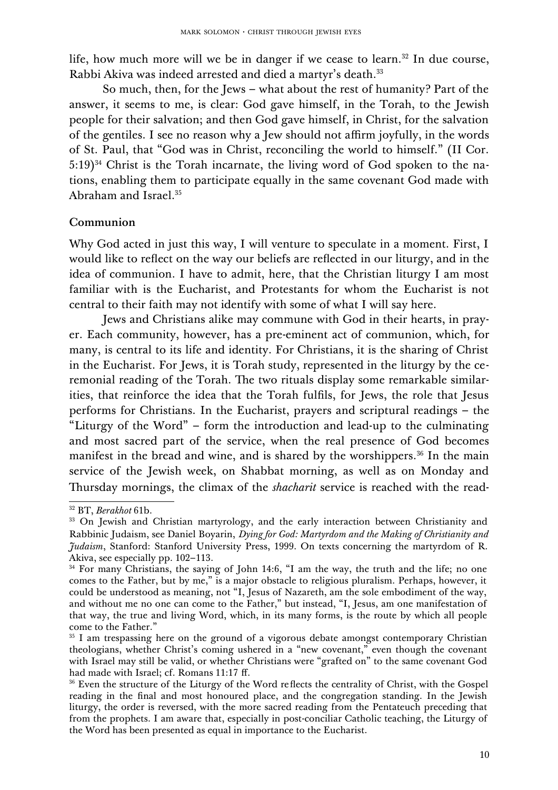life, how much more will we be in danger if we cease to learn.<sup>[32](#page-9-0)</sup> In due course, Rabbi Akiva was indeed arrested and died a martyr's death.<sup>[33](#page-9-1)</sup>

So much, then, for the Jews – what about the rest of humanity? Part of the answer, it seems to me, is clear: God gave himself, in the Torah, to the Jewish people for their salvation; and then God gave himself, in Christ, for the salvation of the gentiles. I see no reason why a Jew should not affirm joyfully, in the words of St. Paul, that "God was in Christ, reconciling the world to himself." (II Cor. 5:19)[34](#page-9-2) Christ is the Torah incarnate, the living word of God spoken to the nations, enabling them to participate equally in the same covenant God made with Abraham and Israel.[35](#page-9-3)

#### Communion

Why God acted in just this way, I will venture to speculate in a moment. First, I would like to reflect on the way our beliefs are reflected in our liturgy, and in the idea of communion. I have to admit, here, that the Christian liturgy I am most familiar with is the Eucharist, and Protestants for whom the Eucharist is not central to their faith may not identify with some of what I will say here.

Jews and Christians alike may commune with God in their hearts, in prayer. Each community, however, has a pre-eminent act of communion, which, for many, is central to its life and identity. For Christians, it is the sharing of Christ in the Eucharist. For Jews, it is Torah study, represented in the liturgy by the ceremonial reading of the Torah. The two rituals display some remarkable similarities, that reinforce the idea that the Torah fulfils, for Jews, the role that Jesus performs for Christians. In the Eucharist, prayers and scriptural readings – the "Liturgy of the Word" – form the introduction and lead-up to the culminating and most sacred part of the service, when the real presence of God becomes manifest in the bread and wine, and is shared by the worshippers.<sup>[36](#page-9-4)</sup> In the main service of the Jewish week, on Shabbat morning, as well as on Monday and Thursday mornings, the climax of the *shacharit* service is reached with the read-

<span id="page-9-0"></span><sup>32</sup> BT, *Berakhot* 61b.

<span id="page-9-1"></span><sup>&</sup>lt;sup>33</sup> On Jewish and Christian martyrology, and the early interaction between Christianity and Rabbinic Judaism, see Daniel Boyarin, *Dying for God: Martyrdom and the Making of Christianity and Judaism*, Stanford: Stanford University Press, 1999. On texts concerning the martyrdom of R. Akiva, see especially pp. 102–113.

<span id="page-9-2"></span><sup>&</sup>lt;sup>34</sup> For many Christians, the saying of John 14:6, "I am the way, the truth and the life; no one comes to the Father, but by me," is a major obstacle to religious pluralism. Perhaps, however, it could be understood as meaning, not "I, Jesus of Nazareth, am the sole embodiment of the way, and without me no one can come to the Father," but instead, "I, Jesus, am one manifestation of that way, the true and living Word, which, in its many forms, is the route by which all people come to the Father."

<span id="page-9-3"></span><sup>&</sup>lt;sup>35</sup> I am trespassing here on the ground of a vigorous debate amongst contemporary Christian theologians, whether Christ's coming ushered in a "new covenant," even though the covenant with Israel may still be valid, or whether Christians were "grafted on" to the same covenant God had made with Israel; cf. Romans 11:17 ff.

<span id="page-9-4"></span><sup>&</sup>lt;sup>36</sup> Even the structure of the Liturgy of the Word reflects the centrality of Christ, with the Gospel reading in the final and most honoured place, and the congregation standing. In the Jewish liturgy, the order is reversed, with the more sacred reading from the Pentateuch preceding that from the prophets. I am aware that, especially in post-conciliar Catholic teaching, the Liturgy of the Word has been presented as equal in importance to the Eucharist.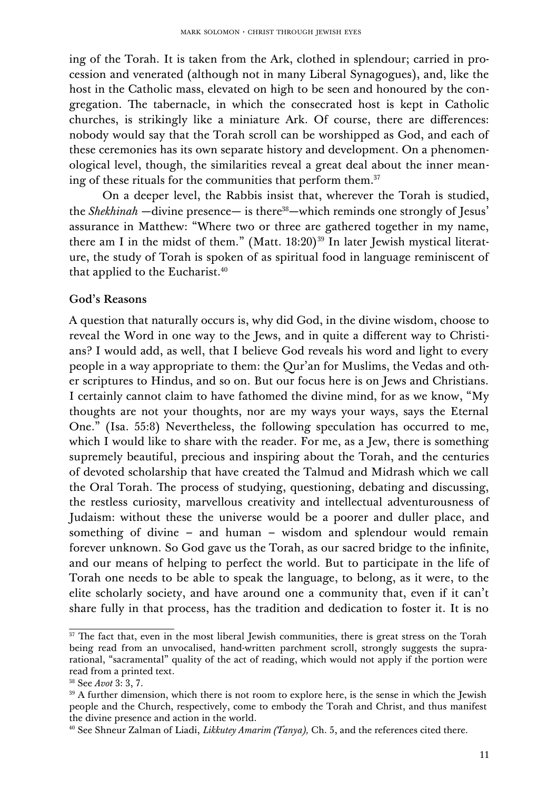ing of the Torah. It is taken from the Ark, clothed in splendour; carried in procession and venerated (although not in many Liberal Synagogues), and, like the host in the Catholic mass, elevated on high to be seen and honoured by the congregation. The tabernacle, in which the consecrated host is kept in Catholic churches, is strikingly like a miniature Ark. Of course, there are differences: nobody would say that the Torah scroll can be worshipped as God, and each of these ceremonies has its own separate history and development. On a phenomenological level, though, the similarities reveal a great deal about the inner mean-ing of these rituals for the communities that perform them.<sup>[37](#page-10-0)</sup>

On a deeper level, the Rabbis insist that, wherever the Torah is studied, the *Shekhinah* —divine presence— is there<sup>[38](#page-10-1)</sup>—which reminds one strongly of Jesus' assurance in Matthew: "Where two or three are gathered together in my name, there am I in the midst of them." (Matt.  $18:20$ )<sup>[39](#page-10-2)</sup> In later Jewish mystical literature, the study of Torah is spoken of as spiritual food in language reminiscent of that applied to the Eucharist.<sup>[40](#page-10-3)</sup>

#### God's Reasons

A question that naturally occurs is, why did God, in the divine wisdom, choose to reveal the Word in one way to the Jews, and in quite a different way to Christians? I would add, as well, that I believe God reveals his word and light to every people in a way appropriate to them: the Qur'an for Muslims, the Vedas and other scriptures to Hindus, and so on. But our focus here is on Jews and Christians. I certainly cannot claim to have fathomed the divine mind, for as we know, "My thoughts are not your thoughts, nor are my ways your ways, says the Eternal One." (Isa. 55:8) Nevertheless, the following speculation has occurred to me, which I would like to share with the reader. For me, as a Jew, there is something supremely beautiful, precious and inspiring about the Torah, and the centuries of devoted scholarship that have created the Talmud and Midrash which we call the Oral Torah. The process of studying, questioning, debating and discussing, the restless curiosity, marvellous creativity and intellectual adventurousness of Judaism: without these the universe would be a poorer and duller place, and something of divine – and human – wisdom and splendour would remain forever unknown. So God gave us the Torah, as our sacred bridge to the infinite, and our means of helping to perfect the world. But to participate in the life of Torah one needs to be able to speak the language, to belong, as it were, to the elite scholarly society, and have around one a community that, even if it can't share fully in that process, has the tradition and dedication to foster it. It is no

<span id="page-10-0"></span><sup>&</sup>lt;sup>37</sup> The fact that, even in the most liberal Jewish communities, there is great stress on the Torah being read from an unvocalised, hand-written parchment scroll, strongly suggests the suprarational, "sacramental" quality of the act of reading, which would not apply if the portion were read from a printed text.

<span id="page-10-1"></span><sup>38</sup> See *Avot* 3: 3, 7.

<span id="page-10-2"></span><sup>&</sup>lt;sup>39</sup> A further dimension, which there is not room to explore here, is the sense in which the Jewish people and the Church, respectively, come to embody the Torah and Christ, and thus manifest the divine presence and action in the world.

<span id="page-10-3"></span><sup>40</sup> See Shneur Zalman of Liadi, *Likkutey Amarim (Tanya),* Ch. 5, and the references cited there.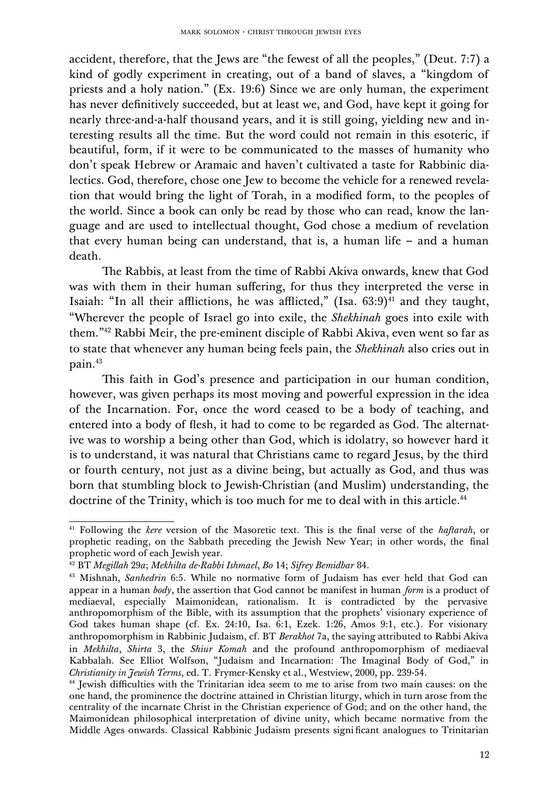accident, therefore, that the Jews are "the fewest of all the peoples," (Deut. 7:7) a kind of godly experiment in creating, out of a band of slaves, a "kingdom of priests and a holy nation." (Ex. 19:6) Since we are only human, the experiment has never definitively succeeded, but at least we, and God, have kept it going for nearly three-and-a-half thousand years, and it is still going, yielding new and interesting results all the time. But the word could not remain in this esoteric, if beautiful, form, if it were to be communicated to the masses of humanity who don't speak Hebrew or Aramaic and haven't cultivated a taste for Rabbinic dialectics. God, therefore, chose one Jew to become the vehicle for a renewed revelation that would bring the light of Torah, in a modified form, to the peoples of the world. Since a book can only be read by those who can read, know the language and are used to intellectual thought, God chose a medium of revelation that every human being can understand, that is, a human life – and a human death.

The Rabbis, at least from the time of Rabbi Akiva onwards, knew that God was with them in their human suffering, for thus they interpreted the verse in Isaiah: "In all their afflictions, he was afflicted," (Isa.  $63:9$ )<sup>[41](#page-11-0)</sup> and they taught, "Wherever the people of Israel go into exile, the *Shekhinah* goes into exile with them."[42](#page-11-1) Rabbi Meir, the pre-eminent disciple of Rabbi Akiva, even went so far as to state that whenever any human being feels pain, the *Shekhinah* also cries out in pain.[43](#page-11-2)

This faith in God's presence and participation in our human condition, however, was given perhaps its most moving and powerful expression in the idea of the Incarnation. For, once the word ceased to be a body of teaching, and entered into a body of flesh, it had to come to be regarded as God. The alternative was to worship a being other than God, which is idolatry, so however hard it is to understand, it was natural that Christians came to regard Jesus, by the third or fourth century, not just as a divine being, but actually as God, and thus was born that stumbling block to Jewish-Christian (and Muslim) understanding, the doctrine of the Trinity, which is too much for me to deal with in this article.<sup>[44](#page-11-3)</sup>

<span id="page-11-0"></span><sup>&</sup>lt;sup>41</sup> Following the *kere* version of the Masoretic text. This is the final verse of the *haftarah*, or prophetic reading, on the Sabbath preceding the Jewish New Year; in other words, the final prophetic word of each Jewish year.

<span id="page-11-1"></span><sup>42</sup> BT *Megillah* 29*a*; *Mekhilta de-Rabbi Ishmael*, *Bo* 14; *Sifrey Bemidbar* 84.

<span id="page-11-2"></span><sup>&</sup>lt;sup>43</sup> Mishnah, *Sanhedrin* 6:5. While no normative form of Judaism has ever held that God can appear in a human *body*, the assertion that God cannot be manifest in human *form* is a product of mediaeval, especially Maimonidean, rationalism. It is contradicted by the pervasive anthropomorphism of the Bible, with its assumption that the prophets' visionary experience of God takes human shape (cf. Ex. 24:10, Isa. 6:1, Ezek. 1:26, Amos 9:1, etc.). For visionary anthropomorphism in Rabbinic Judaism, cf. BT *Berakhot* 7a, the saying attributed to Rabbi Akiva in *Mekhilta*, *Shirta* 3, the *Shiur Komah* and the profound anthropomorphism of mediaeval Kabbalah. See Elliot Wolfson, "Judaism and Incarnation: The Imaginal Body of God," in *Christianity in Jewish Terms*, ed. T. Frymer-Kensky et al., Westview, 2000, pp. 239-54.

<span id="page-11-3"></span><sup>44</sup> Jewish difficulties with the Trinitarian idea seem to me to arise from two main causes: on the one hand, the prominence the doctrine attained in Christian liturgy, which in turn arose from the centrality of the incarnate Christ in the Christian experience of God; and on the other hand, the Maimonidean philosophical interpretation of divine unity, which became normative from the Middle Ages onwards. Classical Rabbinic Judaism presents signi ficant analogues to Trinitarian